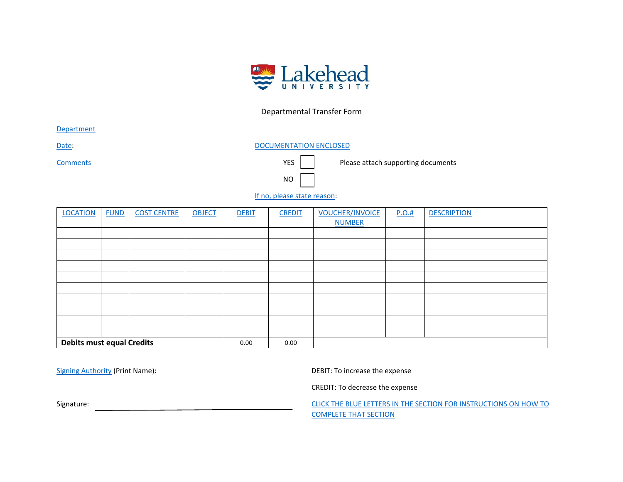

## Departmental Transfer Form

<span id="page-0-0"></span>**[Department](#page-1-0)** 

[Date:](#page-1-1) Date: [DOCUMENTATION ENCLOSED](#page-1-2)

NO

[Comments](#page-1-3) Comments Comments

[If no, please state reason:](#page-1-4)

| <b>LOCATION</b>                  | <b>FUND</b> | <b>COST CENTRE</b> | <b>OBJECT</b> | <b>DEBIT</b> | <b>CREDIT</b> | <b>VOUCHER/INVOICE</b><br><b>NUMBER</b> | P.O.# | <b>DESCRIPTION</b> |
|----------------------------------|-------------|--------------------|---------------|--------------|---------------|-----------------------------------------|-------|--------------------|
|                                  |             |                    |               |              |               |                                         |       |                    |
|                                  |             |                    |               |              |               |                                         |       |                    |
|                                  |             |                    |               |              |               |                                         |       |                    |
|                                  |             |                    |               |              |               |                                         |       |                    |
|                                  |             |                    |               |              |               |                                         |       |                    |
|                                  |             |                    |               |              |               |                                         |       |                    |
|                                  |             |                    |               |              |               |                                         |       |                    |
|                                  |             |                    |               |              |               |                                         |       |                    |
|                                  |             |                    |               |              |               |                                         |       |                    |
|                                  |             |                    |               |              |               |                                         |       |                    |
| <b>Debits must equal Credits</b> |             |                    |               | 0.00         | 0.00          |                                         |       |                    |

[Signing Authority](#page-1-12) (Print Name): Signing Authority (Print Name):

CREDIT: To decrease the expense

Signature: CLICK THE BLUE LETTERS IN THE SECTION FOR INSTRUCTIONS ON HOW TO [COMPLETE THAT SECTION](#page-1-13)